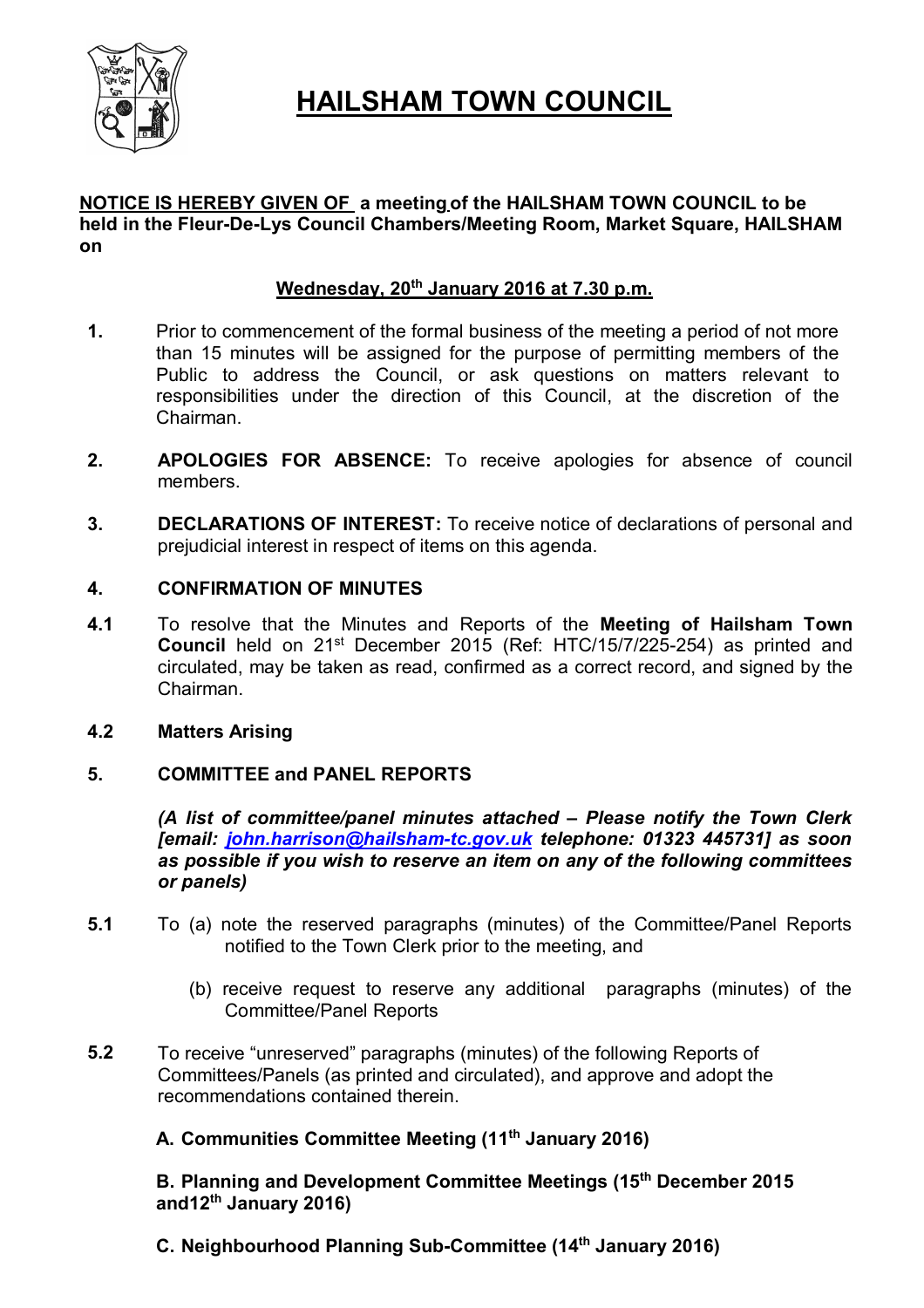

# **HAILSHAM TOWN COUNCIL**

# **NOTICE IS HEREBY GIVEN OF a meeting of the HAILSHAM TOWN COUNCIL to be held in the Fleur-De-Lys Council Chambers/Meeting Room, Market Square, HAILSHAM on**

# **Wednesday, 20th January 2016 at 7.30 p.m.**

- **1.** Prior to commencement of the formal business of the meeting a period of not more than 15 minutes will be assigned for the purpose of permitting members of the Public to address the Council, or ask questions on matters relevant to responsibilities under the direction of this Council, at the discretion of the Chairman.
- **2. APOLOGIES FOR ABSENCE:** To receive apologies for absence of council members.
- **3. DECLARATIONS OF INTEREST:** To receive notice of declarations of personal and prejudicial interest in respect of items on this agenda.

# **4. CONFIRMATION OF MINUTES**

**4.1** To resolve that the Minutes and Reports of the **Meeting of Hailsham Town Council** held on 21<sup>st</sup> December 2015 (Ref: HTC/15/7/225-254) as printed and circulated, may be taken as read, confirmed as a correct record, and signed by the Chairman.

# **4.2 Matters Arising**

# **5. COMMITTEE and PANEL REPORTS**

*(A list of committee/panel minutes attached – Please notify the Town Clerk [email: john.harrison@hailsham-tc.gov.uk telephone: 01323 445731] as soon as possible if you wish to reserve an item on any of the following committees or panels)*

- **5.1** To (a) note the reserved paragraphs (minutes) of the Committee/Panel Reports notified to the Town Clerk prior to the meeting, and
	- (b) receive request to reserve any additional paragraphs (minutes) of the Committee/Panel Reports
- **5.2** To receive "unreserved" paragraphs (minutes) of the following Reports of Committees/Panels (as printed and circulated), and approve and adopt the recommendations contained therein.

# **A. Communities Committee Meeting (11th January 2016)**

**B. Planning and Development Committee Meetings (15th December 2015 and12th January 2016)**

**C. Neighbourhood Planning Sub-Committee (14th January 2016)**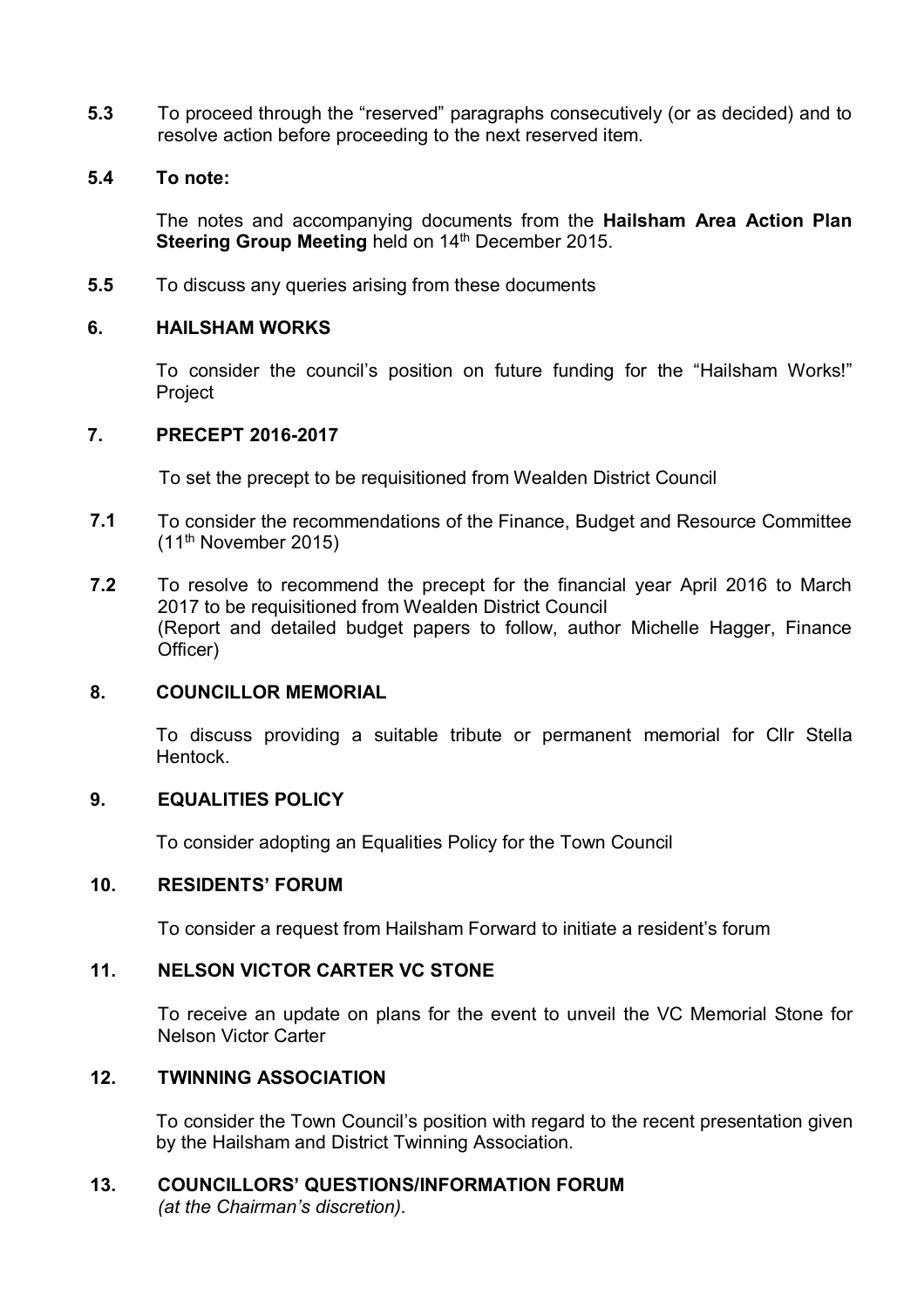**5.3** To proceed through the "reserved" paragraphs consecutively (or as decided) and to resolve action before proceeding to the next reserved item.

# **5.4 To note:**

The notes and accompanying documents from the **Hailsham Area Action Plan**  Steering Group Meeting held on 14<sup>th</sup> December 2015.

**5.5** To discuss any queries arising from these documents

# **6. HAILSHAM WORKS**

To consider the council's position on future funding for the "Hailsham Works!" Project

# **7. PRECEPT 2016-2017**

To set the precept to be requisitioned from Wealden District Council

- **7.1** To consider the recommendations of the Finance, Budget and Resource Committee (11th November 2015)
- **7.2** To resolve to recommend the precept for the financial year April 2016 to March 2017 to be requisitioned from Wealden District Council (Report and detailed budget papers to follow, author Michelle Hagger, Finance Officer)

# **8. COUNCILLOR MEMORIAL**

To discuss providing a suitable tribute or permanent memorial for Cllr Stella Hentock.

# **9. EQUALITIES POLICY**

To consider adopting an Equalities Policy for the Town Council

# **10. RESIDENTS' FORUM**

To consider a request from Hailsham Forward to initiate a resident's forum

# **11. NELSON VICTOR CARTER VC STONE**

To receive an update on plans for the event to unveil the VC Memorial Stone for Nelson Victor Carter

# **12. TWINNING ASSOCIATION**

To consider the Town Council's position with regard to the recent presentation given by the Hailsham and District Twinning Association.

# **13. COUNCILLORS' QUESTIONS/INFORMATION FORUM**

*(at the Chairman's discretion).*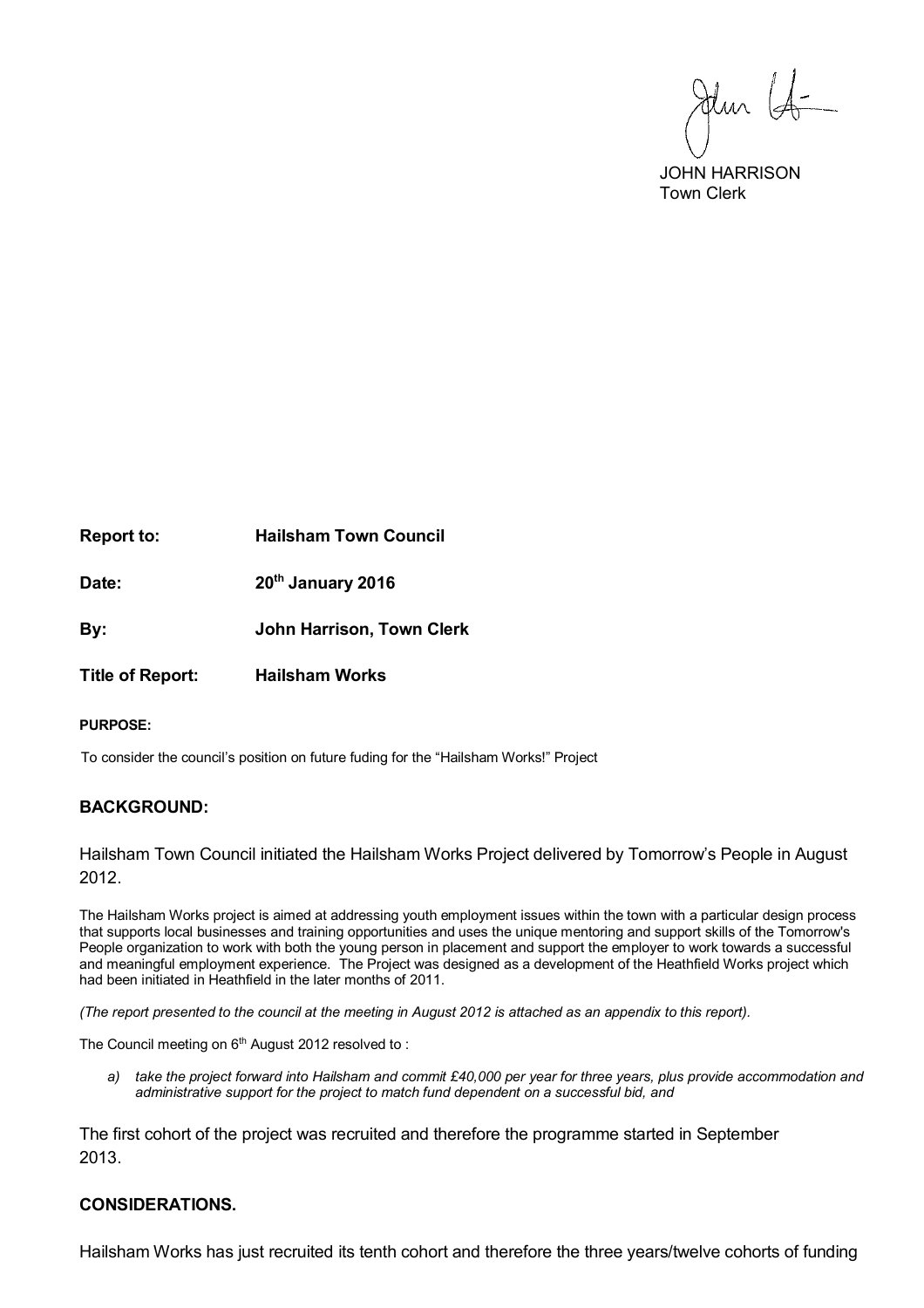Jehn Lo

 JOHN HARRISON Town Clerk

**Report to: Hailsham Town Council Date: 20th January 2016**

**By: John Harrison, Town Clerk**

**Title of Report: Hailsham Works**

#### **PURPOSE:**

To consider the council's position on future fuding for the "Hailsham Works!" Project

### **BACKGROUND:**

Hailsham Town Council initiated the Hailsham Works Project delivered by Tomorrow's People in August 2012.

The Hailsham Works project is aimed at addressing youth employment issues within the town with a particular design process that supports local businesses and training opportunities and uses the unique mentoring and support skills of the Tomorrow's People organization to work with both the young person in placement and support the employer to work towards a successful and meaningful employment experience. The Project was designed as a development of the Heathfield Works project which had been initiated in Heathfield in the later months of 2011.

*(The report presented to the council at the meeting in August 2012 is attached as an appendix to this report).* 

The Council meeting on 6<sup>th</sup> August 2012 resolved to:

*a) take the project forward into Hailsham and commit £40,000 per year for three years, plus provide accommodation and administrative support for the project to match fund dependent on a successful bid, and*

The first cohort of the project was recruited and therefore the programme started in September 2013.

#### **CONSIDERATIONS.**

Hailsham Works has just recruited its tenth cohort and therefore the three years/twelve cohorts of funding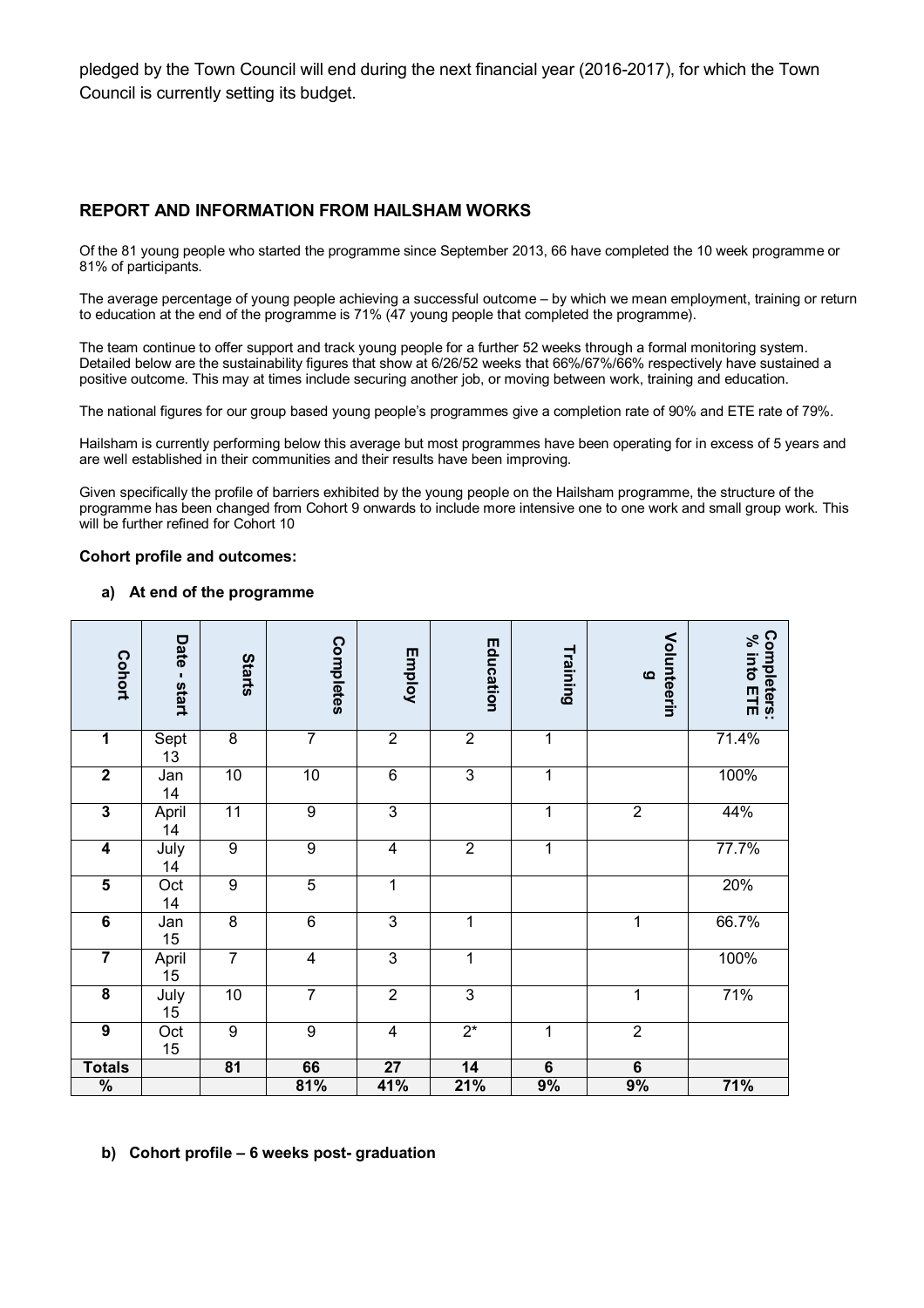pledged by the Town Council will end during the next financial year (2016-2017), for which the Town Council is currently setting its budget.

### **REPORT AND INFORMATION FROM HAILSHAM WORKS**

Of the 81 young people who started the programme since September 2013, 66 have completed the 10 week programme or 81% of participants.

The average percentage of young people achieving a successful outcome – by which we mean employment, training or return to education at the end of the programme is 71% (47 young people that completed the programme).

The team continue to offer support and track young people for a further 52 weeks through a formal monitoring system. Detailed below are the sustainability figures that show at 6/26/52 weeks that 66%/67%/66% respectively have sustained a positive outcome. This may at times include securing another job, or moving between work, training and education.

The national figures for our group based young people's programmes give a completion rate of 90% and ETE rate of 79%.

Hailsham is currently performing below this average but most programmes have been operating for in excess of 5 years and are well established in their communities and their results have been improving.

Given specifically the profile of barriers exhibited by the young people on the Hailsham programme, the structure of the programme has been changed from Cohort 9 onwards to include more intensive one to one work and small group work. This will be further refined for Cohort 10

#### **Cohort profile and outcomes:**

#### **a) At end of the programme**

| <b>Cohort</b>           | Date<br>$\blacksquare$<br><b>start</b> | <b>Starts</b>   | Completes        | Employ                  | Education        | Training       | Volunteerin<br>$\Omega$ | Completers:<br>% into<br>믺 |
|-------------------------|----------------------------------------|-----------------|------------------|-------------------------|------------------|----------------|-------------------------|----------------------------|
| $\overline{\mathbf{1}}$ | Sept<br>13                             | $\overline{8}$  | $\overline{7}$   | $\overline{2}$          | $\overline{2}$   | 1              |                         | 71.4%                      |
| $\overline{2}$          | Jan<br>14                              | 10              | 10               | $\overline{6}$          | $\overline{3}$   | 1              |                         | 100%                       |
| $\overline{3}$          | April<br>14                            | 11              | $\boldsymbol{9}$ | $\overline{3}$          |                  | 1              | $\boldsymbol{2}$        | 44%                        |
| $\overline{\mathbf{4}}$ | July<br>14                             | 9               | $\boldsymbol{9}$ | 4                       | $\boldsymbol{2}$ | 1              |                         | 77.7%                      |
| $\overline{\mathbf{5}}$ | Oct<br>14                              | $\overline{9}$  | $\overline{5}$   | $\mathbf 1$             |                  |                |                         | 20%                        |
| $\overline{6}$          | Jan<br>15                              | $\overline{8}$  | $\overline{6}$   | $\overline{3}$          | 1                |                | 1                       | 66.7%                      |
| $\overline{\mathbf{7}}$ | April<br>15                            | $\overline{7}$  | $\overline{4}$   | $\overline{3}$          | 1                |                |                         | 100%                       |
| $\overline{\mathbf{8}}$ | July<br>15                             | 10              | $\overline{7}$   | $\overline{2}$          | $\overline{3}$   |                | $\mathbf{1}$            | 71%                        |
| $\overline{9}$          | Oct<br>15                              | 9               | $\overline{9}$   | $\overline{\mathbf{4}}$ | $2^*$            | $\mathbf{1}$   | $\overline{2}$          |                            |
| <b>Totals</b>           |                                        | $\overline{81}$ | 66               | $\overline{27}$         | 14               | $\overline{6}$ | $\overline{6}$          |                            |
| $\frac{9}{6}$           |                                        |                 | 81%              | 41%                     | 21%              | 9%             | 9%                      | 71%                        |

#### **b) Cohort profile – 6 weeks post- graduation**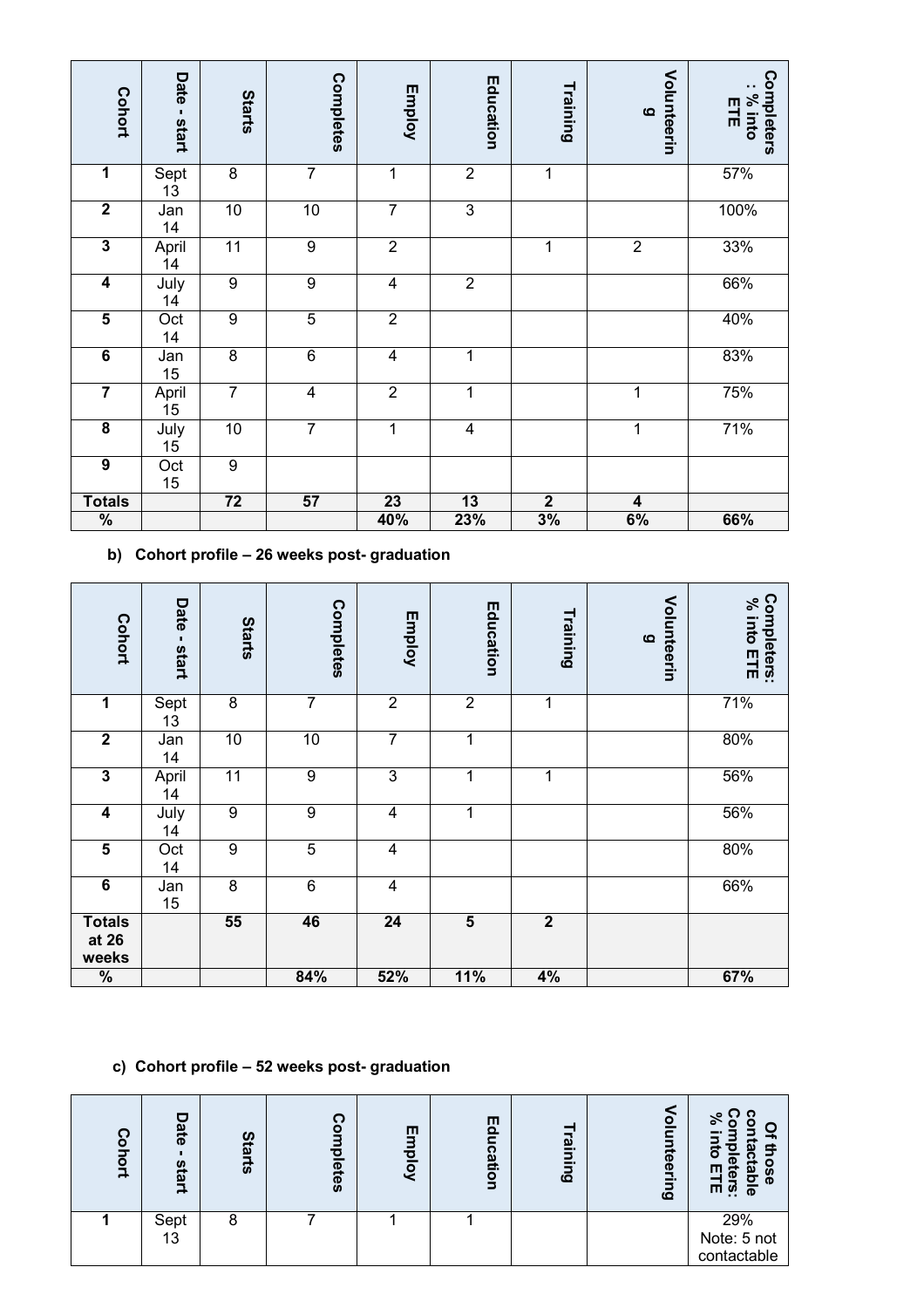| Cohort                  | Date<br>$\mathbf{I}$<br>start | <b>Starts</b>   | Completes      | Employ          | Education               | Training       | Volunteerin<br>$\Omega$ | Completers<br>: % into<br>믂 |
|-------------------------|-------------------------------|-----------------|----------------|-----------------|-------------------------|----------------|-------------------------|-----------------------------|
| 1                       | Sept<br>13                    | $\overline{8}$  | $\overline{7}$ | 1               | $\overline{2}$          | $\mathbf{1}$   |                         | 57%                         |
| $\overline{\mathbf{2}}$ | Jan<br>14                     | 10              | $10$           | $\overline{7}$  | $\overline{\omega}$     |                |                         | 100%                        |
| $\overline{\mathbf{3}}$ | April<br>14                   | $\overline{11}$ | $\overline{9}$ | $\overline{2}$  |                         | 1              | $\overline{2}$          | 33%                         |
| $\overline{\mathbf{4}}$ | July<br>14                    | $\overline{9}$  | $\overline{9}$ | $\overline{4}$  | $\overline{2}$          |                |                         | 66%                         |
| $\overline{\mathbf{5}}$ | Oct<br>14                     | $\overline{9}$  | $\overline{5}$ | $\overline{2}$  |                         |                |                         | 40%                         |
| $\overline{6}$          | Jan<br>15                     | $\overline{8}$  | $\overline{6}$ | $\overline{4}$  | 1                       |                |                         | 83%                         |
| $\overline{\mathbf{7}}$ | April<br>15                   | $\overline{7}$  | $\overline{4}$ | $\overline{2}$  | 1                       |                | 1                       | 75%                         |
| $\overline{\mathbf{8}}$ | July<br>15                    | 10              | $\overline{7}$ | $\mathbf{1}$    | $\overline{\mathbf{4}}$ |                | 1                       | 71%                         |
| $\overline{9}$          | Oct<br>15                     | $\overline{9}$  |                |                 |                         |                |                         |                             |
| <b>Totals</b>           |                               | $\overline{72}$ | 57             | $\overline{23}$ | 13                      | $\overline{2}$ | $\overline{\mathbf{4}}$ |                             |
| $\frac{9}{6}$           |                               |                 |                | 40%             | 23%                     | 3%             | 6%                      | 66%                         |

**b) Cohort profile – 26 weeks post- graduation**

| Cohort                          | Date<br>л.<br>start | <b>Starts</b>    | Completes        | Employ                  | Education               | Training       | Volunteerin<br>$\Omega$ | Completers:<br>% into ETE |
|---------------------------------|---------------------|------------------|------------------|-------------------------|-------------------------|----------------|-------------------------|---------------------------|
| 1                               | Sept<br>13          | 8                | $\overline{7}$   | $\overline{2}$          | $\overline{2}$          | 1              |                         | 71%                       |
| $\overline{2}$                  | Jan<br>14           | 10               | $10$             | $\overline{7}$          | 1                       |                |                         | 80%                       |
| 3                               | April<br>14         | 11               | $\boldsymbol{9}$ | $\mathsf 3$             | 1                       | 1              |                         | 56%                       |
| $\overline{\mathbf{4}}$         | July<br>14          | $\boldsymbol{9}$ | $\overline{9}$   | $\overline{\mathbf{4}}$ | 1                       |                |                         | 56%                       |
| $\overline{\mathbf{5}}$         | Oct<br>14           | 9                | $\overline{5}$   | 4                       |                         |                |                         | 80%                       |
| $\overline{6}$                  | Jan<br>15           | 8                | $\,6$            | 4                       |                         |                |                         | 66%                       |
| <b>Totals</b><br>at 26<br>weeks |                     | 55               | 46               | $\overline{24}$         | $\overline{\mathbf{5}}$ | $\overline{2}$ |                         |                           |
| $\frac{9}{6}$                   |                     |                  | 84%              | 52%                     | 11%                     | 4%             |                         | 67%                       |

# **c) Cohort profile – 52 weeks post- graduation**

| ດ<br>$\overline{\mathbf{o}}$<br>$\overline{5}$<br>급 | c<br>ate<br>S<br>iart | <b>Starts</b> | ຕ<br>$\overline{\mathbf{o}}$<br>$\frac{1}{2}$<br>letes | 匝<br><b>Kold</b> | Education | aining | olunteerin<br>$\Omega$ | -<br>o<br>o<br>Ш<br>ø<br>$\vec{e}$<br>m<br>$\overline{\mathbf{a}}$<br>Φ<br>$\overline{\omega}$<br>m<br>$\overline{\Phi}$ |
|-----------------------------------------------------|-----------------------|---------------|--------------------------------------------------------|------------------|-----------|--------|------------------------|--------------------------------------------------------------------------------------------------------------------------|
|                                                     | Sept<br>13            | 8             |                                                        |                  |           |        |                        | 29%<br>Note: 5 not<br>contactable                                                                                        |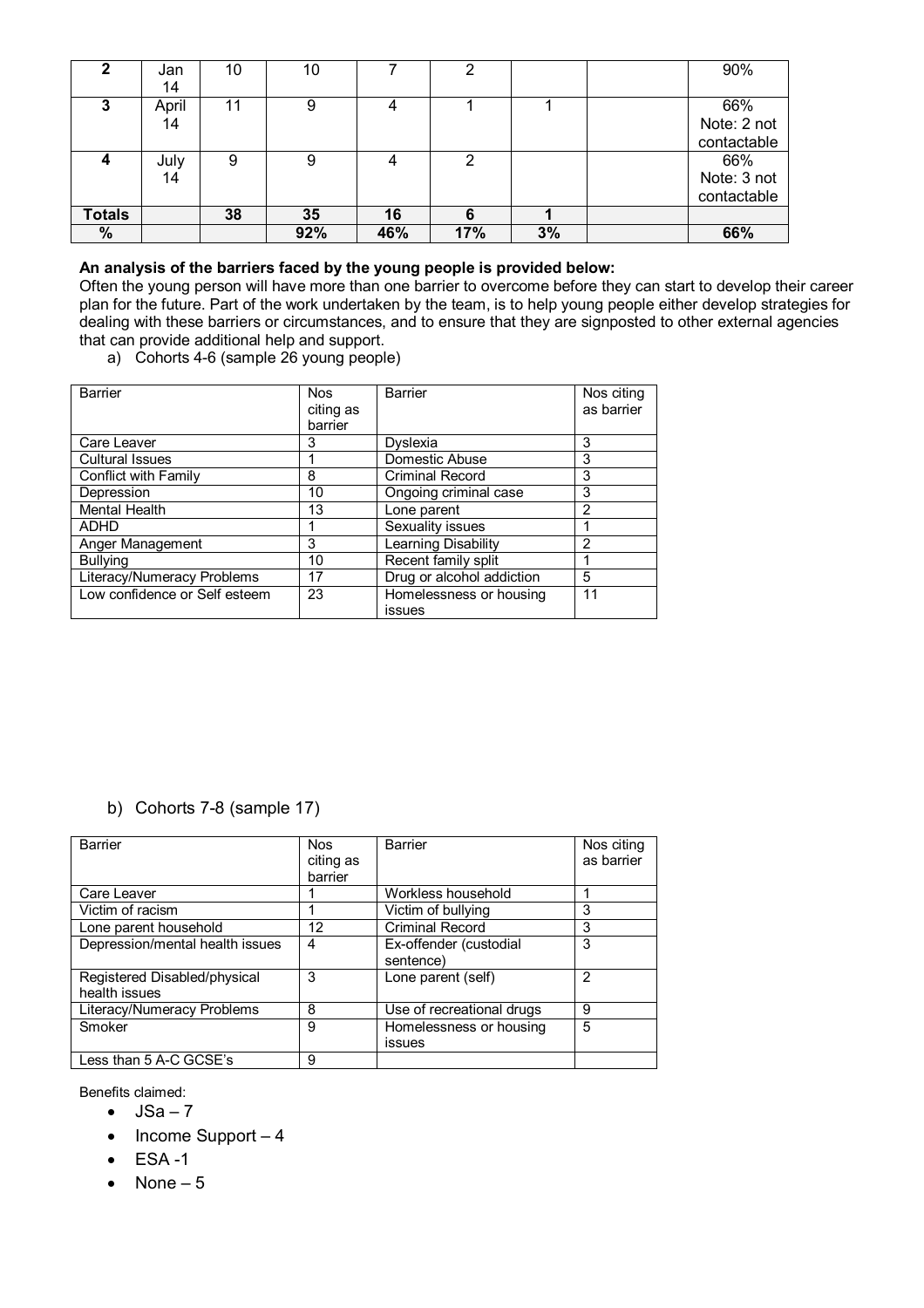| 2             | Jan   | 10 | 10  |     | 2   |    | 90%         |
|---------------|-------|----|-----|-----|-----|----|-------------|
|               | 14    |    |     |     |     |    |             |
| 3             | April | 11 | 9   |     |     |    | 66%         |
|               | 14    |    |     |     |     |    | Note: 2 not |
|               |       |    |     |     |     |    | contactable |
| 4             | July  | 9  | 9   |     | 2   |    | 66%         |
|               | 14    |    |     |     |     |    | Note: 3 not |
|               |       |    |     |     |     |    | contactable |
| <b>Totals</b> |       | 38 | 35  | 16  | 6   |    |             |
| %             |       |    | 92% | 46% | 17% | 3% | 66%         |

#### **An analysis of the barriers faced by the young people is provided below:**

Often the young person will have more than one barrier to overcome before they can start to develop their career plan for the future. Part of the work undertaken by the team, is to help young people either develop strategies for dealing with these barriers or circumstances, and to ensure that they are signposted to other external agencies that can provide additional help and support.

a) Cohorts 4-6 (sample 26 young people)

| Barrier                       | <b>Nos</b> | <b>Barrier</b>             | Nos citing     |
|-------------------------------|------------|----------------------------|----------------|
|                               | citing as  |                            | as barrier     |
|                               | barrier    |                            |                |
| Care Leaver                   | 3          | Dyslexia                   | 3              |
| <b>Cultural Issues</b>        |            | Domestic Abuse             | 3              |
| Conflict with Family          | 8          | <b>Criminal Record</b>     | 3              |
| Depression                    | 10         | Ongoing criminal case      | 3              |
| Mental Health                 | 13         | Lone parent                | 2              |
| <b>ADHD</b>                   |            | Sexuality issues           |                |
| Anger Management              | 3          | <b>Learning Disability</b> | $\overline{2}$ |
| <b>Bullying</b>               | 10         | Recent family split        |                |
| Literacy/Numeracy Problems    | 17         | Drug or alcohol addiction  | 5              |
| Low confidence or Self esteem | 23         | Homelessness or housing    | 11             |
|                               |            | issues                     |                |

# b) Cohorts 7-8 (sample 17)

| Barrier                                       | <b>Nos</b><br>citing as<br>barrier | Barrier                             | Nos citing<br>as barrier |
|-----------------------------------------------|------------------------------------|-------------------------------------|--------------------------|
| Care Leaver                                   |                                    | Workless household                  |                          |
| Victim of racism                              |                                    | Victim of bullying                  | 3                        |
| Lone parent household                         | 12                                 | <b>Criminal Record</b>              | 3                        |
| Depression/mental health issues               | 4                                  | Ex-offender (custodial<br>sentence) | 3                        |
| Registered Disabled/physical<br>health issues | 3                                  | Lone parent (self)                  | 2                        |
| Literacy/Numeracy Problems                    | 8                                  | Use of recreational drugs           | 9                        |
| Smoker                                        | 9                                  | Homelessness or housing<br>issues   | 5                        |
| Less than 5 A-C GCSE's                        | 9                                  |                                     |                          |

Benefits claimed:

- $\bullet$  JSa 7
- $\bullet$  Income Support 4
- $\bullet$  ESA -1
- $\bullet$  None 5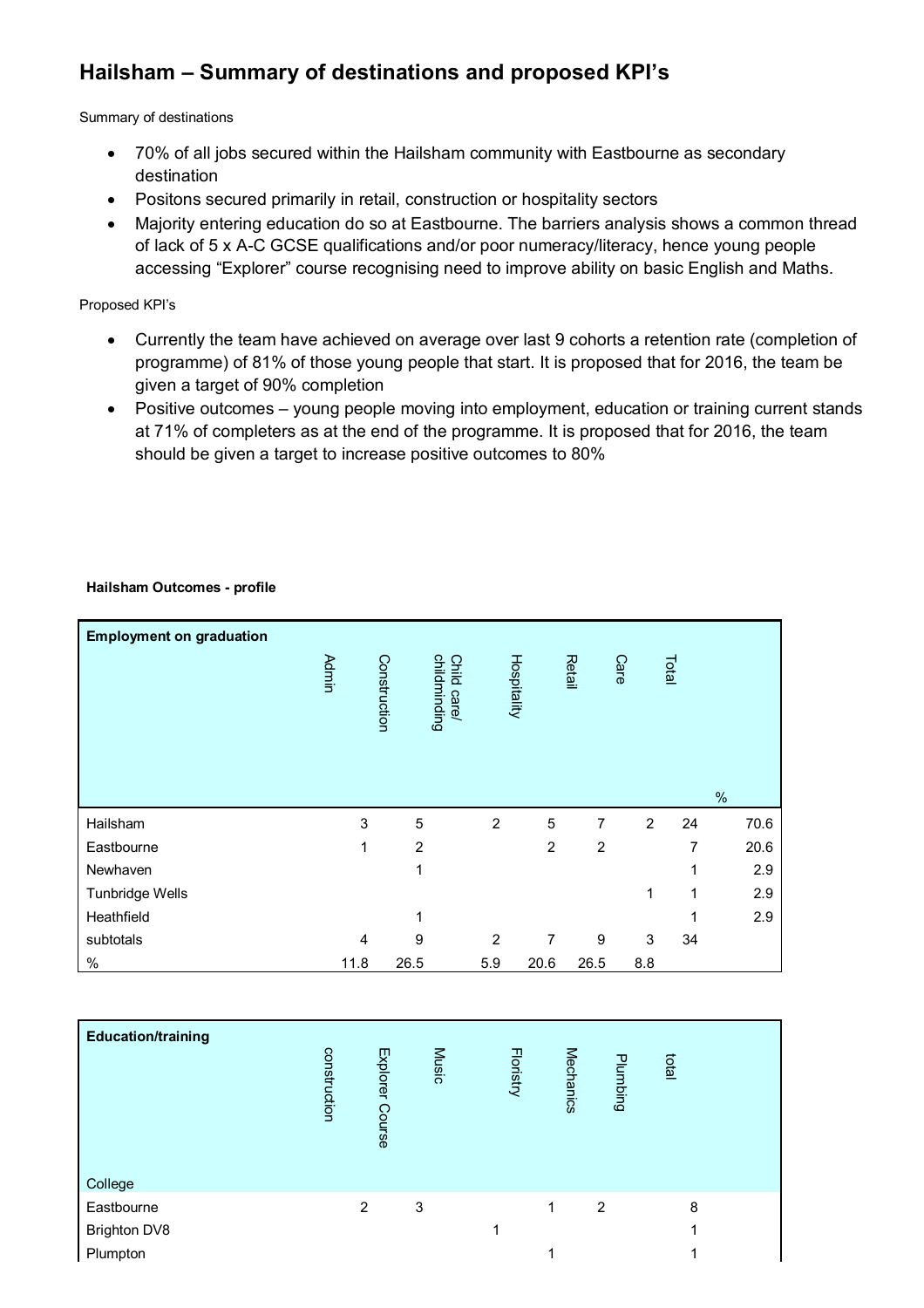# **Hailsham – Summary of destinations and proposed KPI's**

Summary of destinations

- 70% of all jobs secured within the Hailsham community with Eastbourne as secondary destination
- Positons secured primarily in retail, construction or hospitality sectors
- Majority entering education do so at Eastbourne. The barriers analysis shows a common thread of lack of 5 x A-C GCSE qualifications and/or poor numeracy/literacy, hence young people accessing "Explorer" course recognising need to improve ability on basic English and Maths.

Proposed KPI's

- Currently the team have achieved on average over last 9 cohorts a retention rate (completion of programme) of 81% of those young people that start. It is proposed that for 2016, the team be given a target of 90% completion
- Positive outcomes young people moving into employment, education or training current stands at 71% of completers as at the end of the programme. It is proposed that for 2016, the team should be given a target to increase positive outcomes to 80%

#### **Hailsham Outcomes - profile**

| <b>Employment on graduation</b> |              |                |                             |                |                |                |                |       |      |      |
|---------------------------------|--------------|----------------|-----------------------------|----------------|----------------|----------------|----------------|-------|------|------|
|                                 | <b>Admin</b> | Construction   | childminding<br>Child care/ |                | Hospitality    | Retail         | Care           | Total |      |      |
|                                 |              |                |                             |                |                |                |                |       | $\%$ |      |
| Hailsham                        |              | 3              | 5                           | $\overline{2}$ | 5              | 7              | $\overline{2}$ | 24    |      | 70.6 |
| Eastbourne                      |              | 1              | $\overline{2}$              |                | $\overline{2}$ | $\overline{2}$ |                | 7     |      | 20.6 |
| Newhaven                        |              |                | 1                           |                |                |                |                | 1     |      | 2.9  |
| Tunbridge Wells                 |              |                |                             |                |                |                | 1              | 1     |      | 2.9  |
| Heathfield                      |              |                | 1                           |                |                |                |                |       |      | 2.9  |
| subtotals                       |              | $\overline{4}$ | 9                           | $\overline{2}$ | 7              | 9              | 3              | 34    |      |      |
| $\%$                            | 11.8         |                | 26.5                        | 5.9            | 20.6           | 26.5           | 8.8            |       |      |      |

| <b>Education/training</b> | construction | Explorer<br><b>Course</b> | <b>Music</b> | <b>Floristry</b> | Mechanics | Plumbing | letal |  |
|---------------------------|--------------|---------------------------|--------------|------------------|-----------|----------|-------|--|
| College                   |              |                           |              |                  |           |          |       |  |
| Eastbourne                |              | $\overline{2}$            | 3            |                  | 1         | 2        | 8     |  |
| <b>Brighton DV8</b>       |              |                           |              | 1                |           |          | 1     |  |
| Plumpton                  |              |                           |              |                  | ◢         |          |       |  |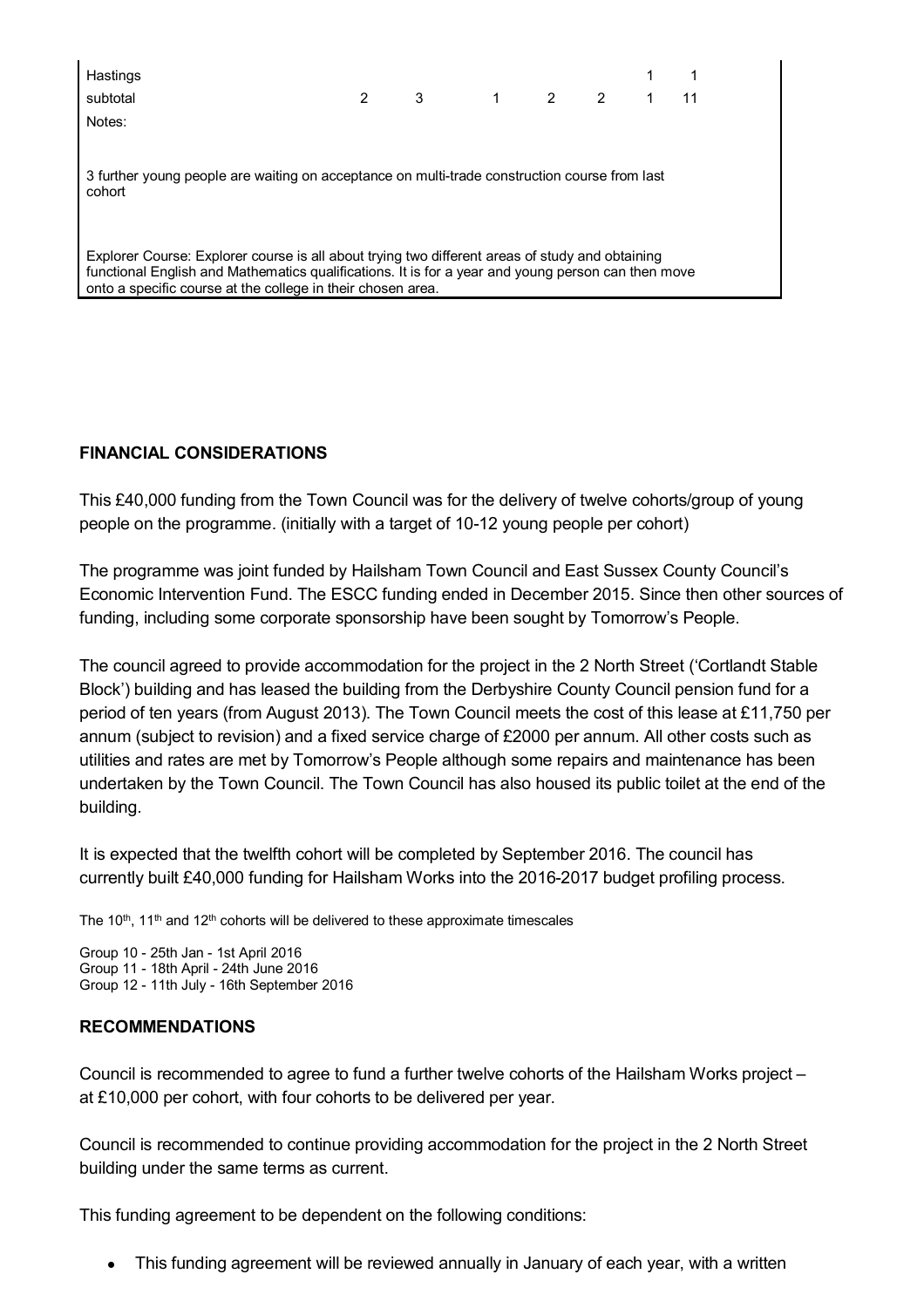| 3 1 2 2 1 11<br>$\mathbf{2}$<br>subtotal                                                                                                                                                                                                                             |  |
|----------------------------------------------------------------------------------------------------------------------------------------------------------------------------------------------------------------------------------------------------------------------|--|
| Notes:                                                                                                                                                                                                                                                               |  |
| 3 further young people are waiting on acceptance on multi-trade construction course from last<br>cohort                                                                                                                                                              |  |
| Explorer Course: Explorer course is all about trying two different areas of study and obtaining<br>functional English and Mathematics qualifications. It is for a year and young person can then move<br>onto a specific course at the college in their chosen area. |  |

# **FINANCIAL CONSIDERATIONS**

This £40,000 funding from the Town Council was for the delivery of twelve cohorts/group of young people on the programme. (initially with a target of 10-12 young people per cohort)

The programme was joint funded by Hailsham Town Council and East Sussex County Council's Economic Intervention Fund. The ESCC funding ended in December 2015. Since then other sources of funding, including some corporate sponsorship have been sought by Tomorrow's People.

The council agreed to provide accommodation for the project in the 2 North Street ('Cortlandt Stable Block') building and has leased the building from the Derbyshire County Council pension fund for a period of ten years (from August 2013). The Town Council meets the cost of this lease at £11,750 per annum (subject to revision) and a fixed service charge of £2000 per annum. All other costs such as utilities and rates are met by Tomorrow's People although some repairs and maintenance has been undertaken by the Town Council. The Town Council has also housed its public toilet at the end of the building.

It is expected that the twelfth cohort will be completed by September 2016. The council has currently built £40,000 funding for Hailsham Works into the 2016-2017 budget profiling process.

The  $10<sup>th</sup>$ ,  $11<sup>th</sup>$  and  $12<sup>th</sup>$  cohorts will be delivered to these approximate timescales

Group 10 - 25th Jan - 1st April 2016 Group 11 - 18th April - 24th June 2016 Group 12 - 11th July - 16th September 2016

### **RECOMMENDATIONS**

Council is recommended to agree to fund a further twelve cohorts of the Hailsham Works project – at £10,000 per cohort, with four cohorts to be delivered per year.

Council is recommended to continue providing accommodation for the project in the 2 North Street building under the same terms as current.

This funding agreement to be dependent on the following conditions:

This funding agreement will be reviewed annually in January of each year, with a written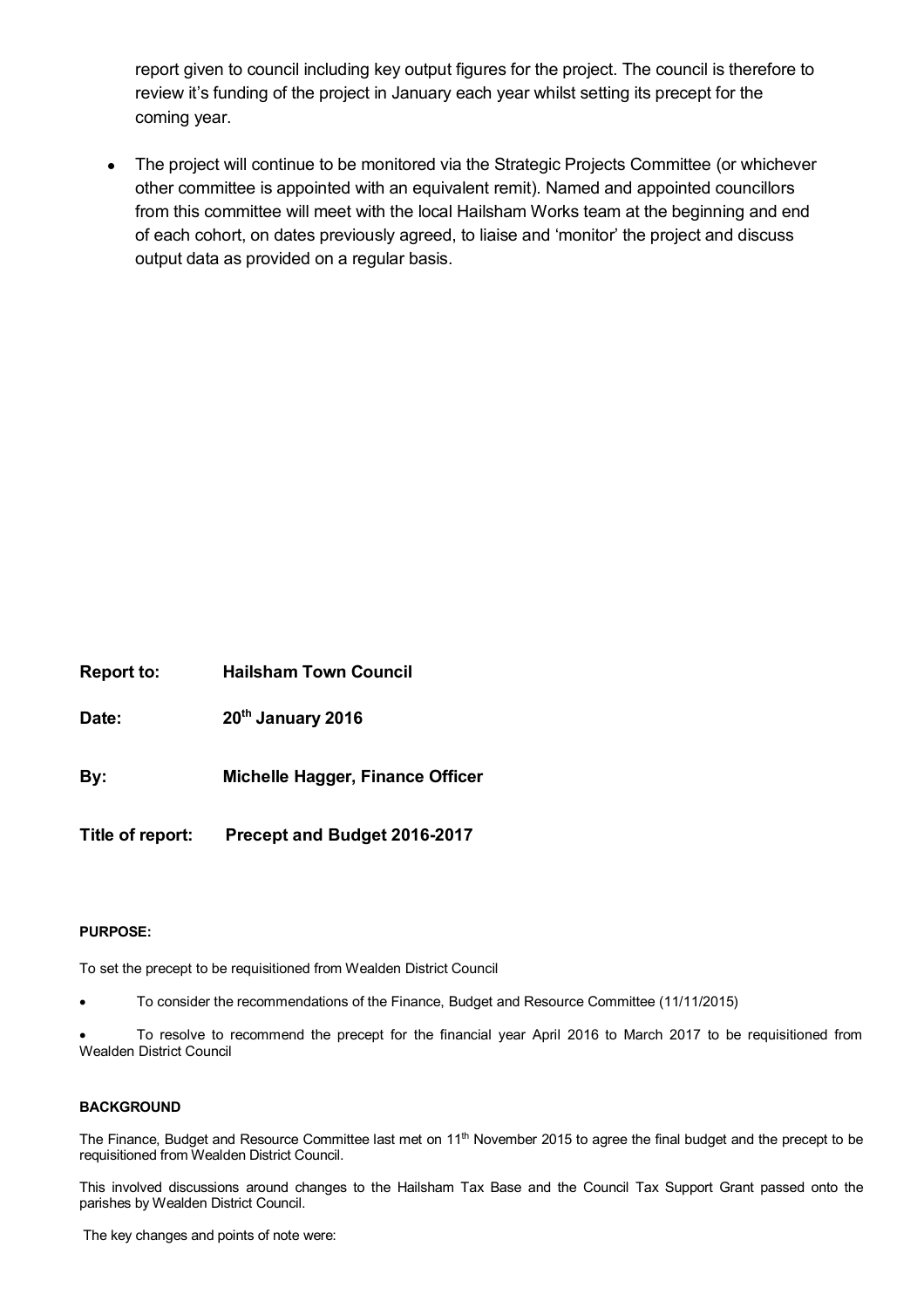report given to council including key output figures for the project. The council is therefore to review it's funding of the project in January each year whilst setting its precept for the coming year.

• The project will continue to be monitored via the Strategic Projects Committee (or whichever other committee is appointed with an equivalent remit). Named and appointed councillors from this committee will meet with the local Hailsham Works team at the beginning and end of each cohort, on dates previously agreed, to liaise and 'monitor' the project and discuss output data as provided on a regular basis.

**Report to: Hailsham Town Council**

**Date: 20th January 2016**

**By: Michelle Hagger, Finance Officer**

**Title of report: Precept and Budget 2016-2017**

#### **PURPOSE:**

To set the precept to be requisitioned from Wealden District Council

To consider the recommendations of the Finance, Budget and Resource Committee (11/11/2015)

 To resolve to recommend the precept for the financial year April 2016 to March 2017 to be requisitioned from Wealden District Council

#### **BACKGROUND**

The Finance, Budget and Resource Committee last met on 11<sup>th</sup> November 2015 to agree the final budget and the precept to be requisitioned from Wealden District Council.

This involved discussions around changes to the Hailsham Tax Base and the Council Tax Support Grant passed onto the parishes by Wealden District Council.

The key changes and points of note were: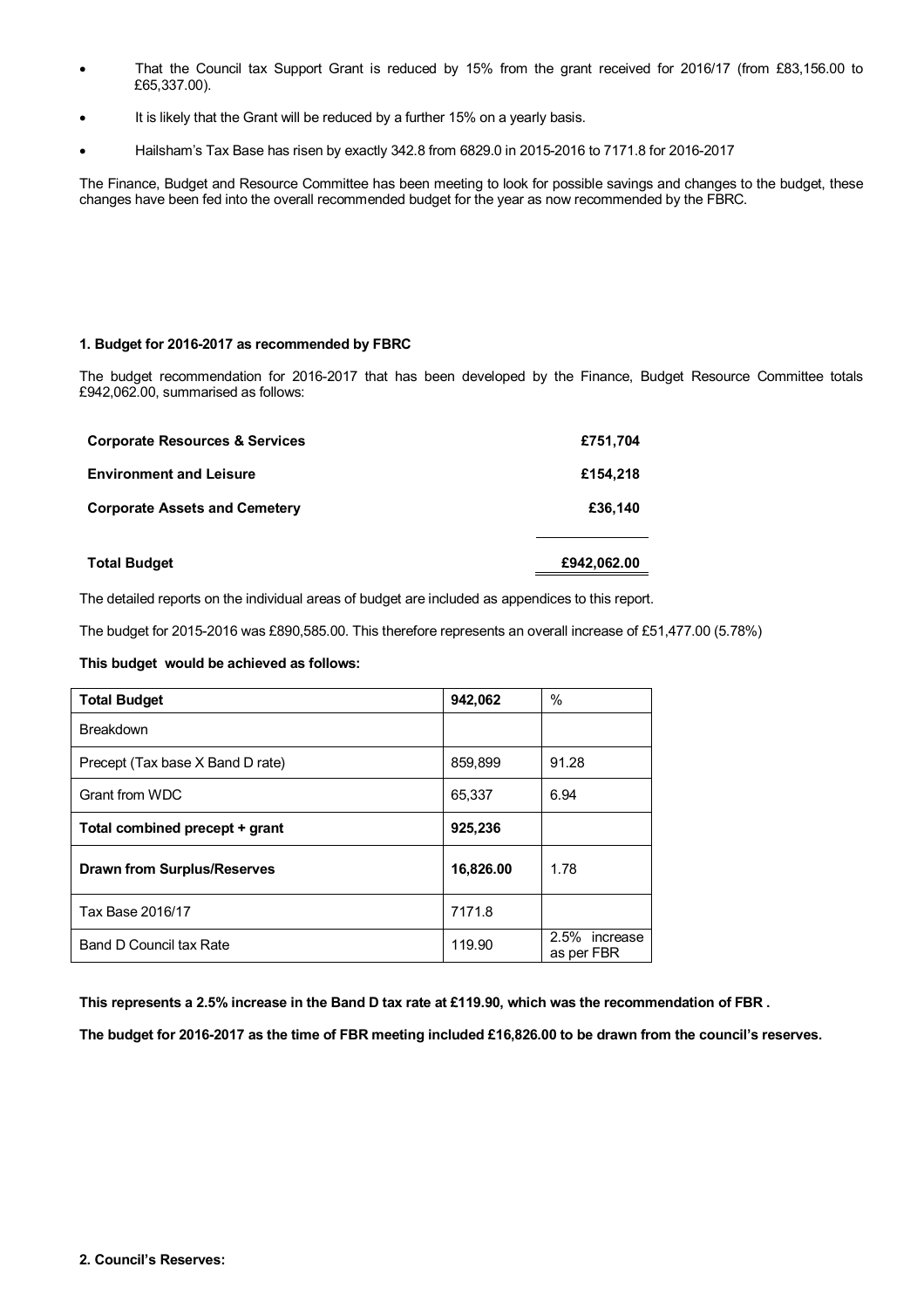- That the Council tax Support Grant is reduced by 15% from the grant received for 2016/17 (from £83,156.00 to £65,337.00).
- It is likely that the Grant will be reduced by a further 15% on a yearly basis.
- Hailsham's Tax Base has risen by exactly 342.8 from 6829.0 in 2015-2016 to 7171.8 for 2016-2017

The Finance, Budget and Resource Committee has been meeting to look for possible savings and changes to the budget, these changes have been fed into the overall recommended budget for the year as now recommended by the FBRC.

#### **1. Budget for 2016-2017 as recommended by FBRC**

The budget recommendation for 2016-2017 that has been developed by the Finance, Budget Resource Committee totals £942,062.00, summarised as follows:

| <b>Total Budget</b>                       | £942,062.00 |
|-------------------------------------------|-------------|
| <b>Corporate Assets and Cemetery</b>      | £36,140     |
| <b>Environment and Leisure</b>            | £154,218    |
| <b>Corporate Resources &amp; Services</b> | £751,704    |

The detailed reports on the individual areas of budget are included as appendices to this report.

The budget for 2015-2016 was £890,585.00. This therefore represents an overall increase of £51,477.00 (5.78%)

#### **This budget would be achieved as follows:**

| <b>Total Budget</b>                | 942,062   | $\%$                        |
|------------------------------------|-----------|-----------------------------|
| <b>Breakdown</b>                   |           |                             |
| Precept (Tax base X Band D rate)   | 859,899   | 91.28                       |
| Grant from WDC                     | 65,337    | 6.94                        |
| Total combined precept + grant     | 925,236   |                             |
| <b>Drawn from Surplus/Reserves</b> | 16,826.00 | 1.78                        |
| Tax Base 2016/17                   | 7171.8    |                             |
| Band D Council tax Rate            | 119.90    | 2.5% increase<br>as per FBR |

**This represents a 2.5% increase in the Band D tax rate at £119.90, which was the recommendation of FBR .**

**The budget for 2016-2017 as the time of FBR meeting included £16,826.00 to be drawn from the council's reserves.**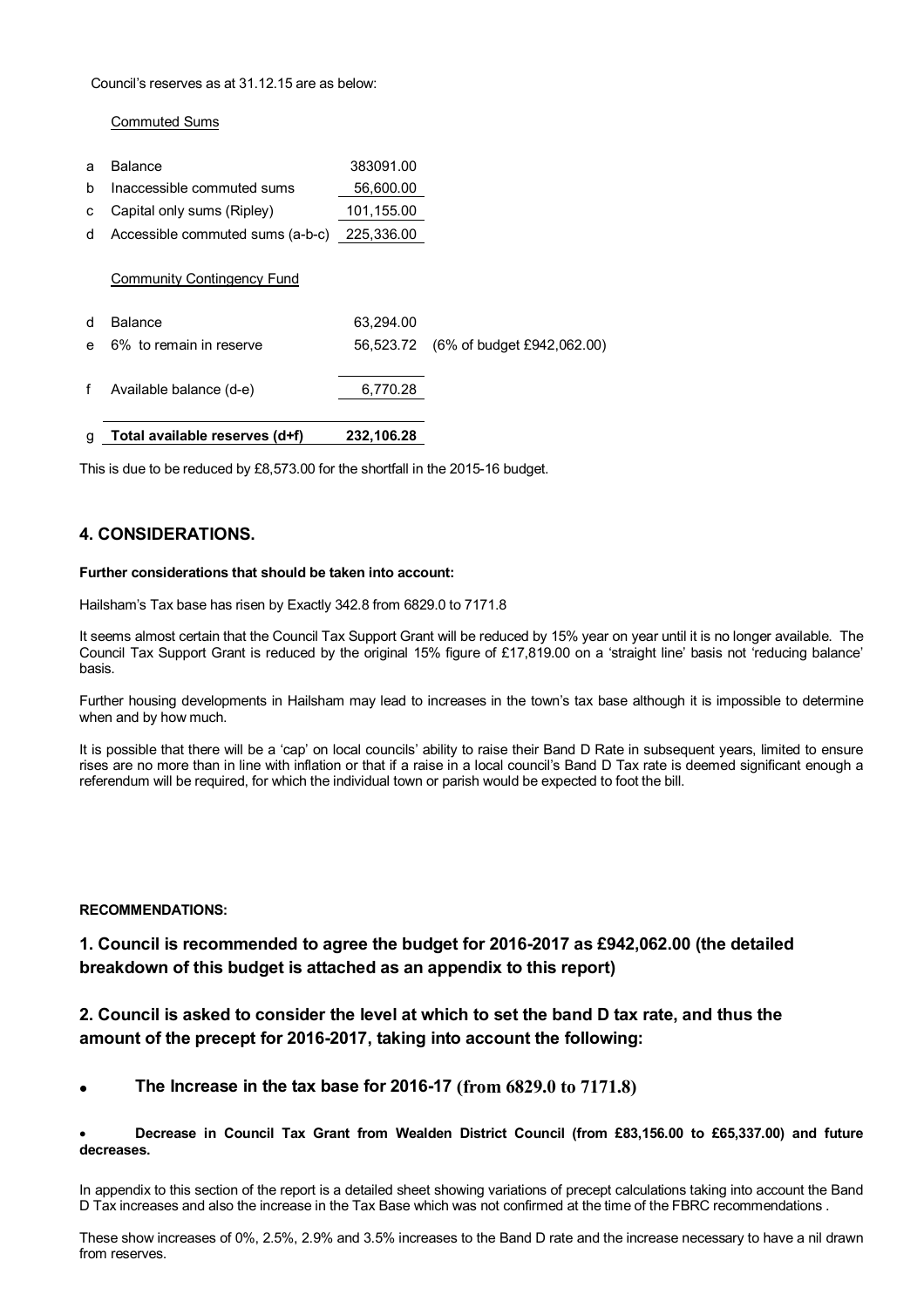#### Council's reserves as at 31.12.15 are as below:

#### Commuted Sums

| g | Total available reserves (d+f)   | 232,106.28 |                            |
|---|----------------------------------|------------|----------------------------|
| f | Available balance (d-e)          | 6,770.28   |                            |
| e | 6% to remain in reserve          | 56.523.72  | (6% of budget £942,062.00) |
| d | <b>Balance</b>                   | 63,294.00  |                            |
|   | Community Contingency Fund       |            |                            |
| d | Accessible commuted sums (a-b-c) | 225,336.00 |                            |
| C | Capital only sums (Ripley)       | 101,155.00 |                            |
| b | Inaccessible commuted sums       | 56,600.00  |                            |
| a | <b>Balance</b>                   | 383091.00  |                            |

This is due to be reduced by £8,573.00 for the shortfall in the 2015-16 budget.

#### **4. CONSIDERATIONS.**

#### **Further considerations that should be taken into account:**

Hailsham's Tax base has risen by Exactly 342.8 from 6829.0 to 7171.8

It seems almost certain that the Council Tax Support Grant will be reduced by 15% year on year until it is no longer available. The Council Tax Support Grant is reduced by the original 15% figure of £17,819.00 on a 'straight line' basis not 'reducing balance' basis.

Further housing developments in Hailsham may lead to increases in the town's tax base although it is impossible to determine when and by how much.

It is possible that there will be a 'cap' on local councils' ability to raise their Band D Rate in subsequent years, limited to ensure rises are no more than in line with inflation or that if a raise in a local council's Band D Tax rate is deemed significant enough a referendum will be required, for which the individual town or parish would be expected to foot the bill.

#### **RECOMMENDATIONS:**

# **1. Council is recommended to agree the budget for 2016-2017 as £942,062.00 (the detailed breakdown of this budget is attached as an appendix to this report)**

### **2. Council is asked to consider the level at which to set the band D tax rate, and thus the amount of the precept for 2016-2017, taking into account the following:**

**The Increase in the tax base for 2016-17 (from 6829.0 to 7171.8)**

#### **Decrease in Council Tax Grant from Wealden District Council (from £83,156.00 to £65,337.00) and future decreases.**

In appendix to this section of the report is a detailed sheet showing variations of precept calculations taking into account the Band D Tax increases and also the increase in the Tax Base which was not confirmed at the time of the FBRC recommendations .

These show increases of 0%, 2.5%, 2.9% and 3.5% increases to the Band D rate and the increase necessary to have a nil drawn from reserves.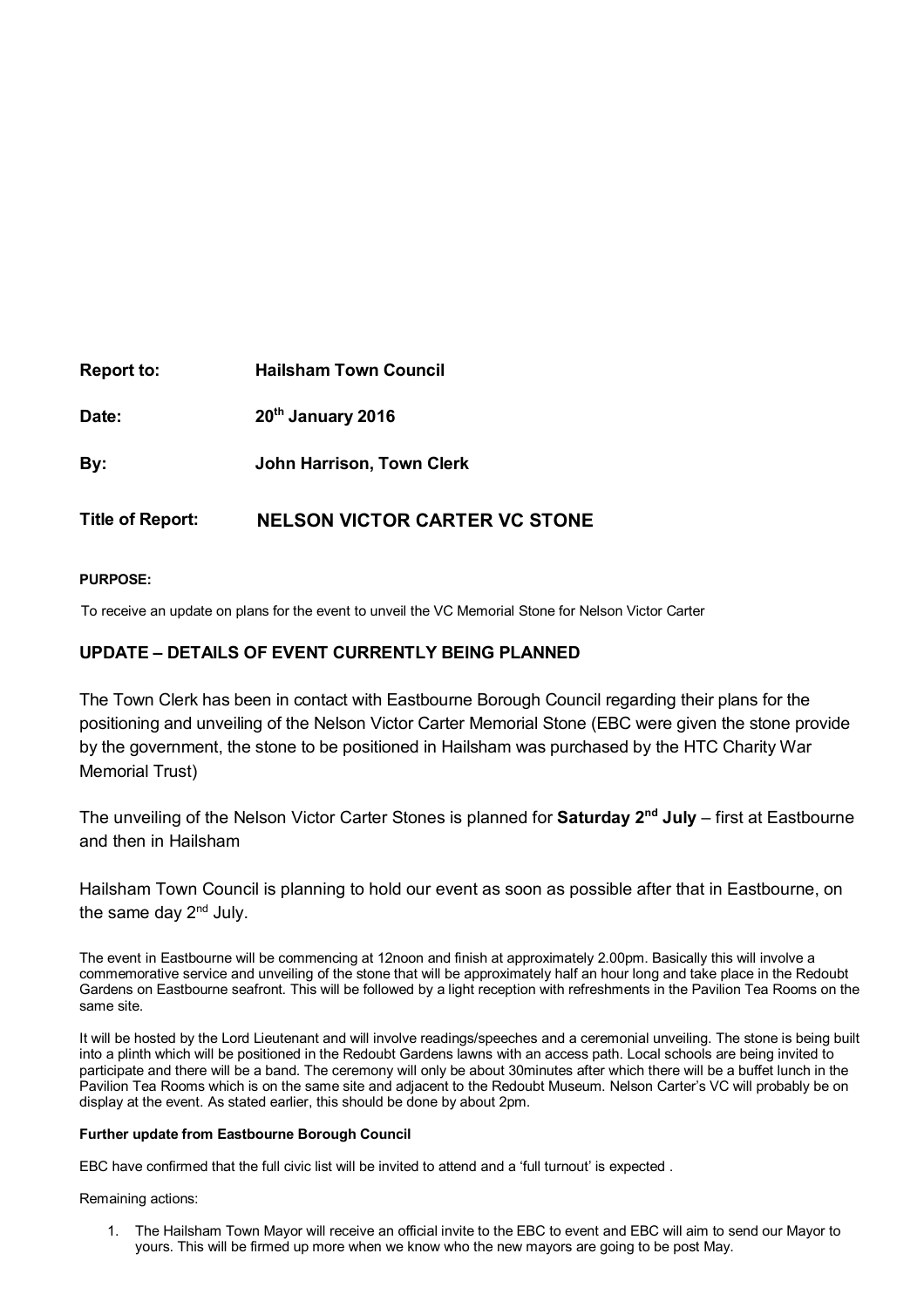| 20 <sup>th</sup> January 2016 |
|-------------------------------|
| John Harrison, Town Clerk     |
|                               |

# **Title of Report: NELSON VICTOR CARTER VC STONE**

### **PURPOSE:**

To receive an update on plans for the event to unveil the VC Memorial Stone for Nelson Victor Carter

# **UPDATE – DETAILS OF EVENT CURRENTLY BEING PLANNED**

The Town Clerk has been in contact with Eastbourne Borough Council regarding their plans for the positioning and unveiling of the Nelson Victor Carter Memorial Stone (EBC were given the stone provide by the government, the stone to be positioned in Hailsham was purchased by the HTC Charity War Memorial Trust)

The unveiling of the Nelson Victor Carter Stones is planned for **Saturday 2nd July** – first at Eastbourne and then in Hailsham

Hailsham Town Council is planning to hold our event as soon as possible after that in Eastbourne, on the same day  $2<sup>nd</sup>$  July.

The event in Eastbourne will be commencing at 12noon and finish at approximately 2.00pm. Basically this will involve a commemorative service and unveiling of the stone that will be approximately half an hour long and take place in the Redoubt Gardens on Eastbourne seafront. This will be followed by a light reception with refreshments in the Pavilion Tea Rooms on the same site.

It will be hosted by the Lord Lieutenant and will involve readings/speeches and a ceremonial unveiling. The stone is being built into a plinth which will be positioned in the Redoubt Gardens lawns with an access path. Local schools are being invited to participate and there will be a band. The ceremony will only be about 30minutes after which there will be a buffet lunch in the Pavilion Tea Rooms which is on the same site and adjacent to the Redoubt Museum. Nelson Carter's VC will probably be on display at the event. As stated earlier, this should be done by about 2pm.

#### **Further update from Eastbourne Borough Council**

EBC have confirmed that the full civic list will be invited to attend and a 'full turnout' is expected .

Remaining actions:

1. The Hailsham Town Mayor will receive an official invite to the EBC to event and EBC will aim to send our Mayor to yours. This will be firmed up more when we know who the new mayors are going to be post May.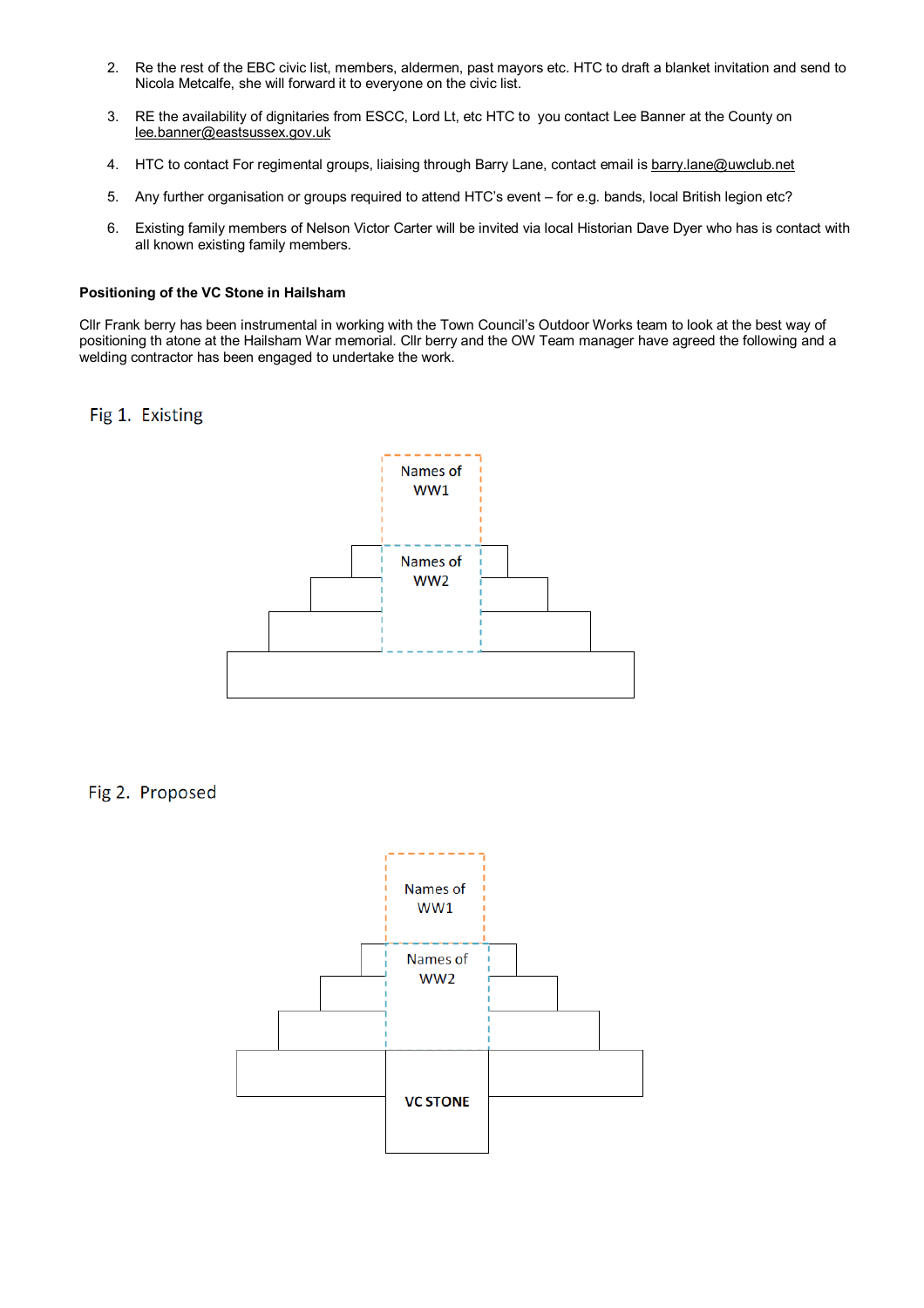- 2. Re the rest of the EBC civic list, members, aldermen, past mayors etc. HTC to draft a blanket invitation and send to Nicola Metcalfe, she will forward it to everyone on the civic list.
- 3. RE the availability of dignitaries from ESCC, Lord Lt, etc HTC to you contact Lee Banner at the County on lee.banner@eastsussex.gov.uk
- 4. HTC to contact For regimental groups, liaising through Barry Lane, contact email is barry.lane@uwclub.net
- 5. Any further organisation or groups required to attend HTC's event for e.g. bands, local British legion etc?
- 6. Existing family members of Nelson Victor Carter will be invited via local Historian Dave Dyer who has is contact with all known existing family members.

#### **Positioning of the VC Stone in Hailsham**

Cllr Frank berry has been instrumental in working with the Town Council's Outdoor Works team to look at the best way of positioning th atone at the Hailsham War memorial. Cllr berry and the OW Team manager have agreed the following and a welding contractor has been engaged to undertake the work.

Fig 1. Existing



Fig 2. Proposed

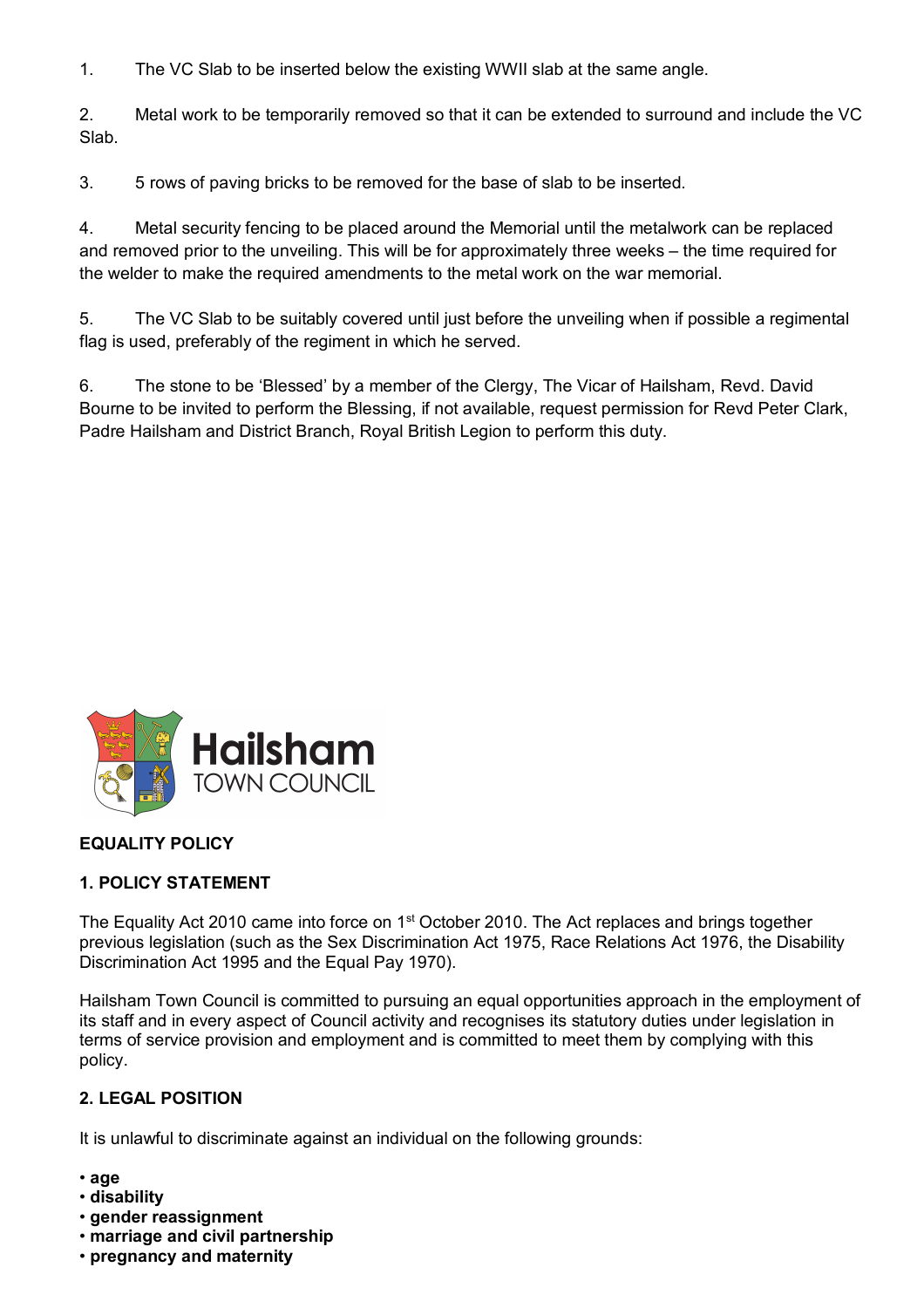1. The VC Slab to be inserted below the existing WWII slab at the same angle.

2. Metal work to be temporarily removed so that it can be extended to surround and include the VC Slab.

3. 5 rows of paving bricks to be removed for the base of slab to be inserted.

4. Metal security fencing to be placed around the Memorial until the metalwork can be replaced and removed prior to the unveiling. This will be for approximately three weeks – the time required for the welder to make the required amendments to the metal work on the war memorial.

5. The VC Slab to be suitably covered until just before the unveiling when if possible a regimental flag is used, preferably of the regiment in which he served.

6. The stone to be 'Blessed' by a member of the Clergy, The Vicar of Hailsham, Revd. David Bourne to be invited to perform the Blessing, if not available, request permission for Revd Peter Clark, Padre Hailsham and District Branch, Royal British Legion to perform this duty.



# **EQUALITY POLICY**

# **1. POLICY STATEMENT**

The Equality Act 2010 came into force on 1<sup>st</sup> October 2010. The Act replaces and brings together previous legislation (such as the Sex Discrimination Act 1975, Race Relations Act 1976, the Disability Discrimination Act 1995 and the Equal Pay 1970).

Hailsham Town Council is committed to pursuing an equal opportunities approach in the employment of its staff and in every aspect of Council activity and recognises its statutory duties under legislation in terms of service provision and employment and is committed to meet them by complying with this policy.

# **2. LEGAL POSITION**

It is unlawful to discriminate against an individual on the following grounds:

- **age**
- **disability**
- **gender reassignment**
- **marriage and civil partnership**
- **pregnancy and maternity**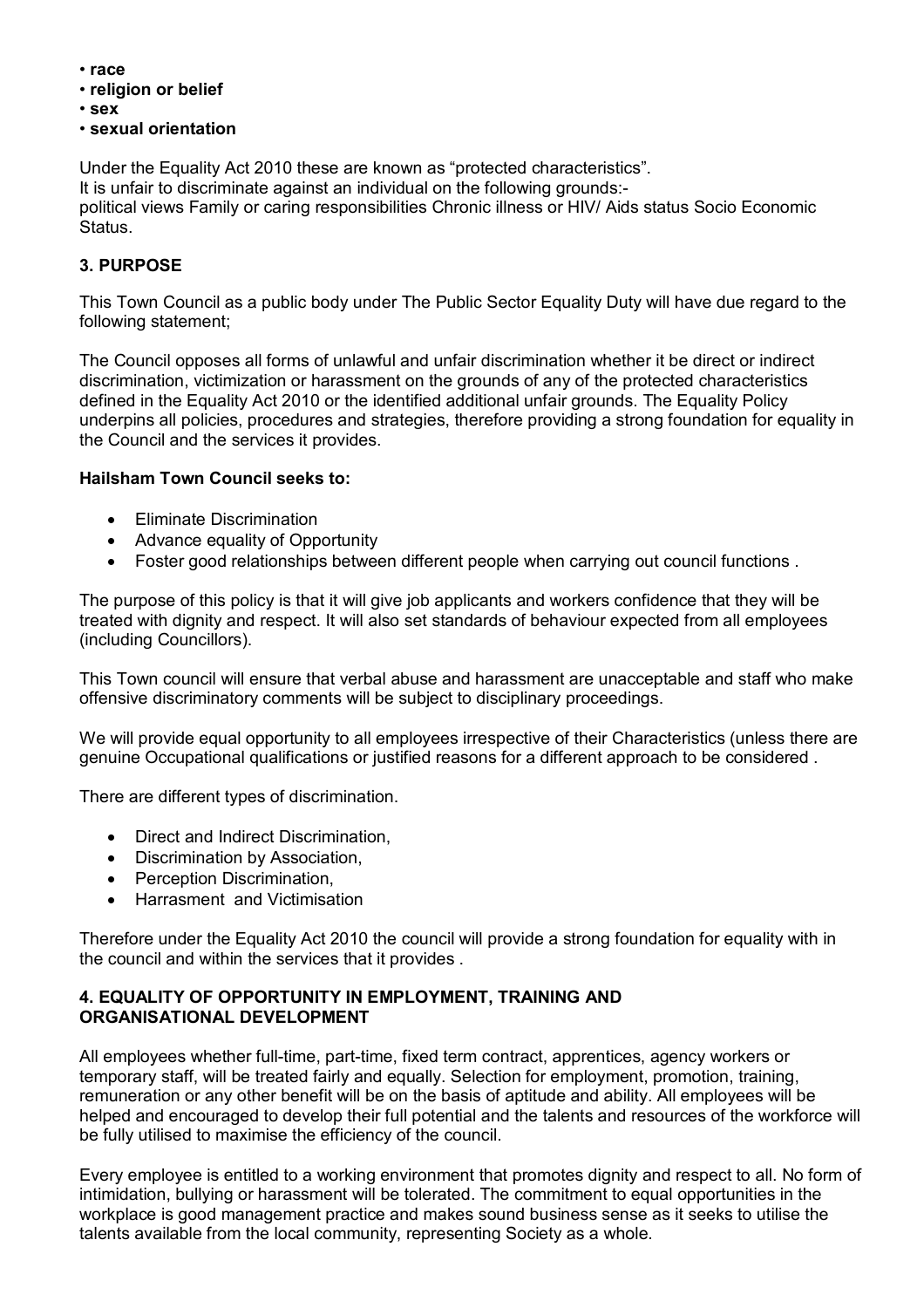- **race**
- **religion or belief**
- **sex**
- **sexual orientation**

Under the Equality Act 2010 these are known as "protected characteristics". It is unfair to discriminate against an individual on the following grounds: political views Family or caring responsibilities Chronic illness or HIV/ Aids status Socio Economic Status.

# **3. PURPOSE**

This Town Council as a public body under The Public Sector Equality Duty will have due regard to the following statement;

The Council opposes all forms of unlawful and unfair discrimination whether it be direct or indirect discrimination, victimization or harassment on the grounds of any of the protected characteristics defined in the Equality Act 2010 or the identified additional unfair grounds. The Equality Policy underpins all policies, procedures and strategies, therefore providing a strong foundation for equality in the Council and the services it provides.

# **Hailsham Town Council seeks to:**

- Eliminate Discrimination
- Advance equality of Opportunity
- Foster good relationships between different people when carrying out council functions .

The purpose of this policy is that it will give job applicants and workers confidence that they will be treated with dignity and respect. It will also set standards of behaviour expected from all employees (including Councillors).

This Town council will ensure that verbal abuse and harassment are unacceptable and staff who make offensive discriminatory comments will be subject to disciplinary proceedings.

We will provide equal opportunity to all employees irrespective of their Characteristics (unless there are genuine Occupational qualifications or justified reasons for a different approach to be considered .

There are different types of discrimination.

- Direct and Indirect Discrimination,
- Discrimination by Association,
- Perception Discrimination.
- Harrasment and Victimisation

Therefore under the Equality Act 2010 the council will provide a strong foundation for equality with in the council and within the services that it provides .

# **4. EQUALITY OF OPPORTUNITY IN EMPLOYMENT, TRAINING AND ORGANISATIONAL DEVELOPMENT**

All employees whether full-time, part-time, fixed term contract, apprentices, agency workers or temporary staff, will be treated fairly and equally. Selection for employment, promotion, training, remuneration or any other benefit will be on the basis of aptitude and ability. All employees will be helped and encouraged to develop their full potential and the talents and resources of the workforce will be fully utilised to maximise the efficiency of the council.

Every employee is entitled to a working environment that promotes dignity and respect to all. No form of intimidation, bullying or harassment will be tolerated. The commitment to equal opportunities in the workplace is good management practice and makes sound business sense as it seeks to utilise the talents available from the local community, representing Society as a whole.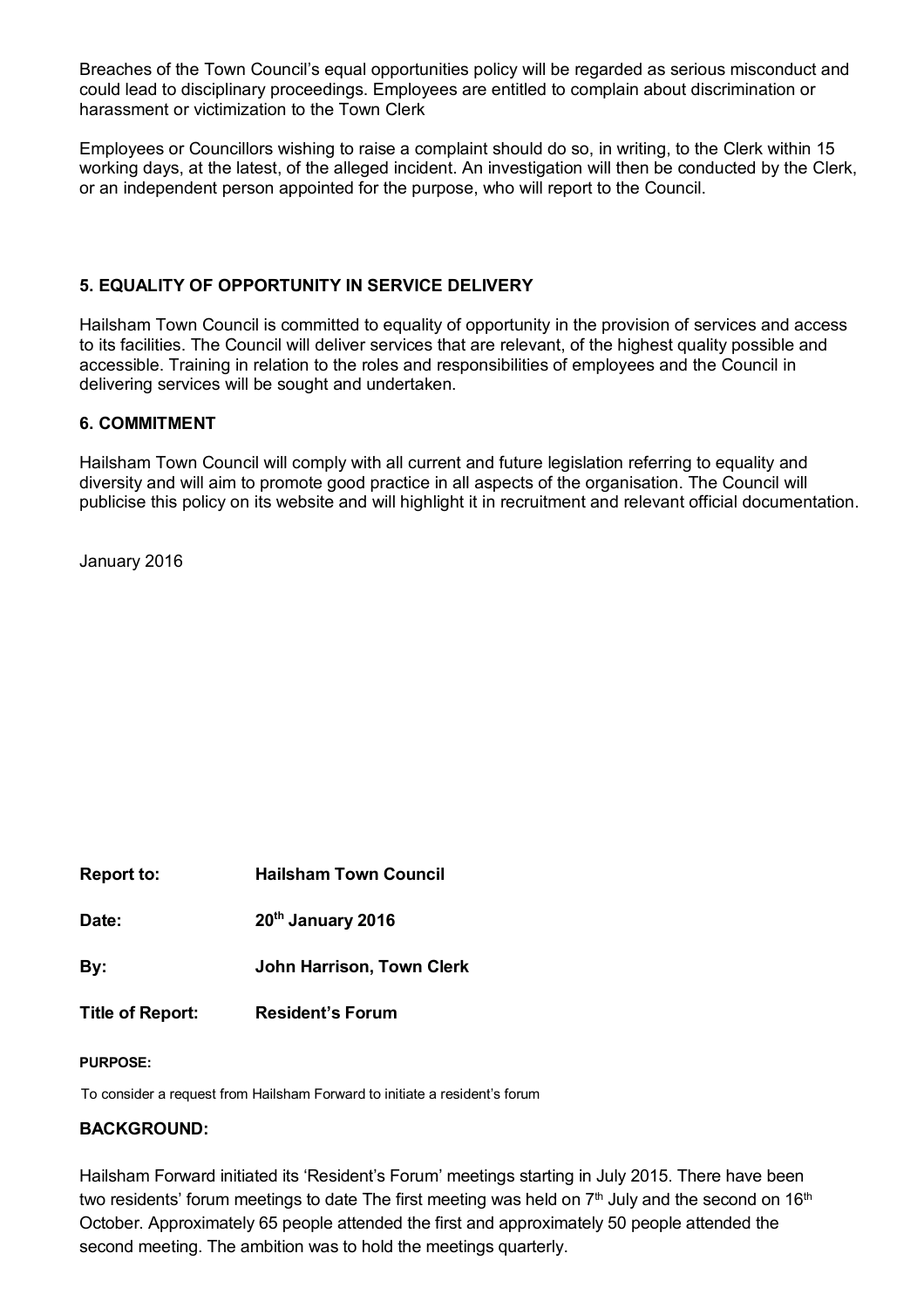Breaches of the Town Council's equal opportunities policy will be regarded as serious misconduct and could lead to disciplinary proceedings. Employees are entitled to complain about discrimination or harassment or victimization to the Town Clerk

Employees or Councillors wishing to raise a complaint should do so, in writing, to the Clerk within 15 working days, at the latest, of the alleged incident. An investigation will then be conducted by the Clerk, or an independent person appointed for the purpose, who will report to the Council.

# **5. EQUALITY OF OPPORTUNITY IN SERVICE DELIVERY**

Hailsham Town Council is committed to equality of opportunity in the provision of services and access to its facilities. The Council will deliver services that are relevant, of the highest quality possible and accessible. Training in relation to the roles and responsibilities of employees and the Council in delivering services will be sought and undertaken.

### **6. COMMITMENT**

Hailsham Town Council will comply with all current and future legislation referring to equality and diversity and will aim to promote good practice in all aspects of the organisation. The Council will publicise this policy on its website and will highlight it in recruitment and relevant official documentation.

January 2016

| <b>Report to:</b>       | <b>Hailsham Town Council</b>  |
|-------------------------|-------------------------------|
| Date:                   | 20 <sup>th</sup> January 2016 |
| By:                     | John Harrison, Town Clerk     |
| <b>Title of Report:</b> | <b>Resident's Forum</b>       |

#### **PURPOSE:**

To consider a request from Hailsham Forward to initiate a resident's forum

### **BACKGROUND:**

Hailsham Forward initiated its 'Resident's Forum' meetings starting in July 2015. There have been two residents' forum meetings to date The first meeting was held on  $7<sup>th</sup>$  July and the second on  $16<sup>th</sup>$ October. Approximately 65 people attended the first and approximately 50 people attended the second meeting. The ambition was to hold the meetings quarterly.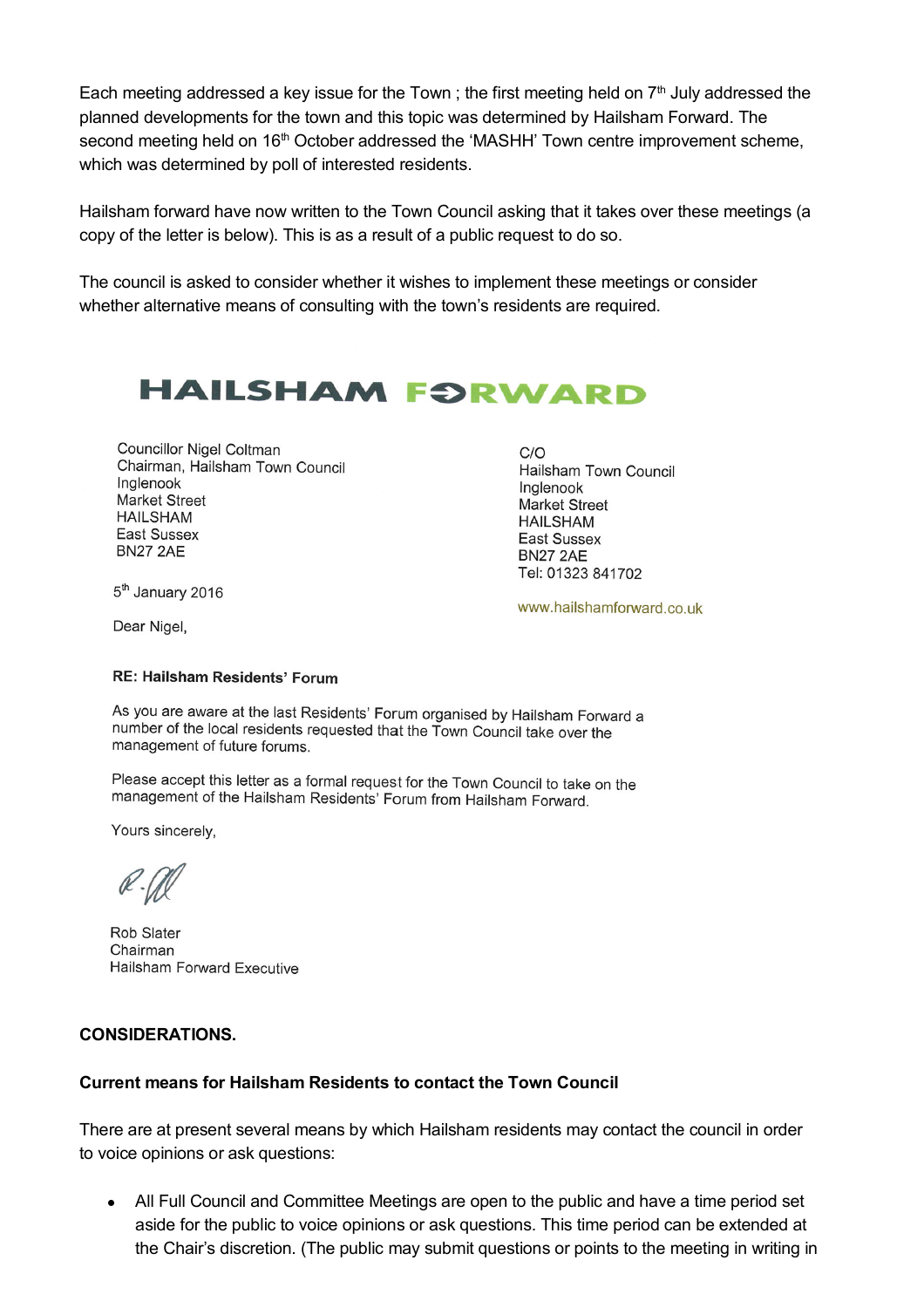Each meeting addressed a key issue for the Town; the first meeting held on  $7<sup>th</sup>$  July addressed the planned developments for the town and this topic was determined by Hailsham Forward. The second meeting held on 16<sup>th</sup> October addressed the 'MASHH' Town centre improvement scheme, which was determined by poll of interested residents.

Hailsham forward have now written to the Town Council asking that it takes over these meetings (a copy of the letter is below). This is as a result of a public request to do so.

The council is asked to consider whether it wishes to implement these meetings or consider whether alternative means of consulting with the town's residents are required.

# **HAILSHAM FORWARD**

**Councillor Nigel Coltman** Chairman, Hailsham Town Council Inglenook Market Street **HAILSHAM East Sussex BN27 2AE** 

 $C/O$ Hailsham Town Council Inglenook **Market Street HAILSHAM** East Sussex **BN27 2AE** Tel: 01323 841702

5<sup>th</sup> January 2016

Dear Nigel,

www.hailshamforward.co.uk

#### **RE: Hailsham Residents' Forum**

As you are aware at the last Residents' Forum organised by Hailsham Forward a number of the local residents requested that the Town Council take over the management of future forums.

Please accept this letter as a formal request for the Town Council to take on the management of the Hailsham Residents' Forum from Hailsham Forward.

Yours sincerely,

Rob Slater Chairman Hailsham Forward Executive

### **CONSIDERATIONS.**

### **Current means for Hailsham Residents to contact the Town Council**

There are at present several means by which Hailsham residents may contact the council in order to voice opinions or ask questions:

 All Full Council and Committee Meetings are open to the public and have a time period set aside for the public to voice opinions or ask questions. This time period can be extended at the Chair's discretion. (The public may submit questions or points to the meeting in writing in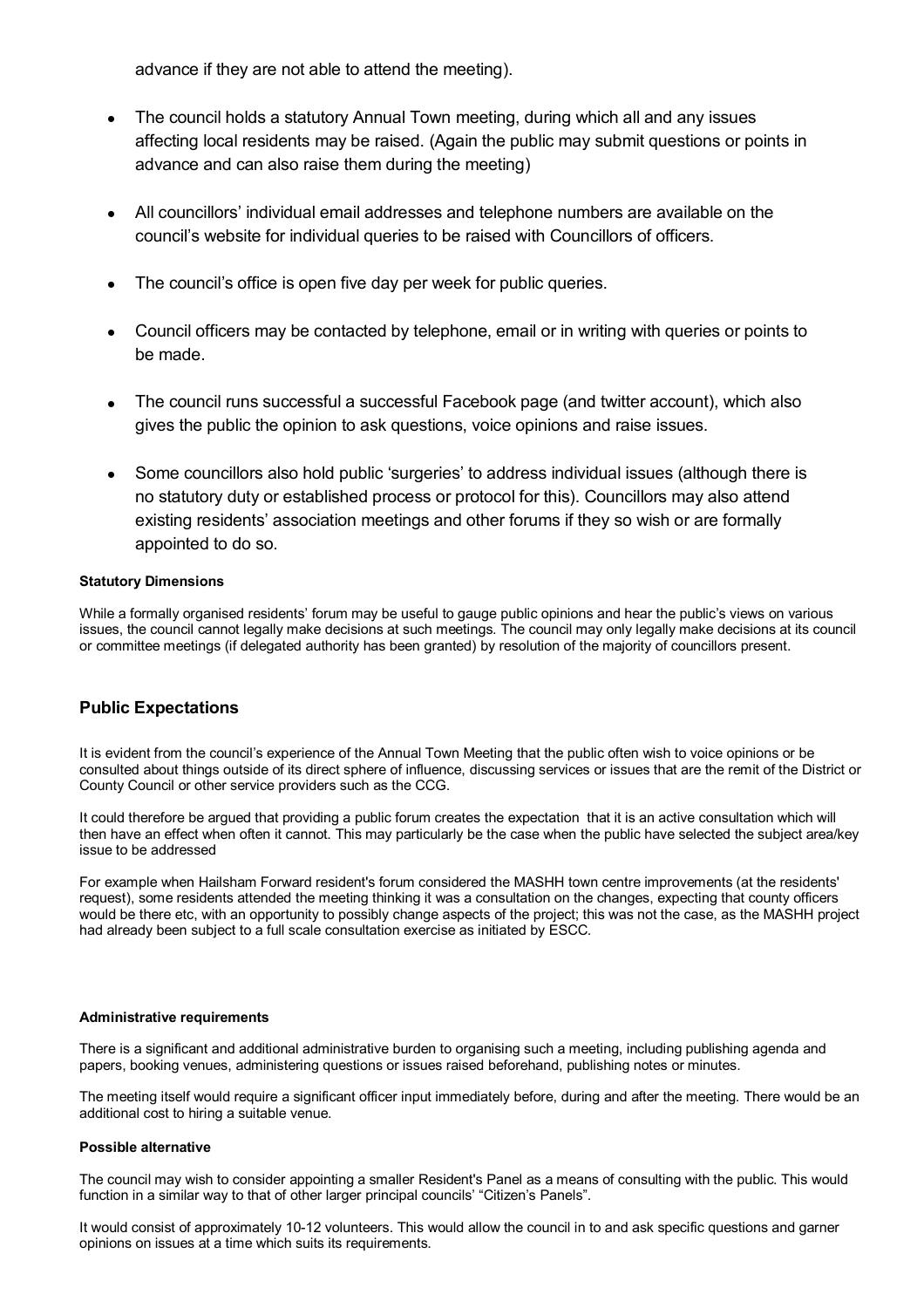advance if they are not able to attend the meeting).

- The council holds a statutory Annual Town meeting, during which all and any issues affecting local residents may be raised. (Again the public may submit questions or points in advance and can also raise them during the meeting)
- All councillors' individual email addresses and telephone numbers are available on the council's website for individual queries to be raised with Councillors of officers.
- The council's office is open five day per week for public queries.
- Council officers may be contacted by telephone, email or in writing with queries or points to be made.
- The council runs successful a successful Facebook page (and twitter account), which also gives the public the opinion to ask questions, voice opinions and raise issues.
- Some councillors also hold public 'surgeries' to address individual issues (although there is no statutory duty or established process or protocol for this). Councillors may also attend existing residents' association meetings and other forums if they so wish or are formally appointed to do so.

#### **Statutory Dimensions**

While a formally organised residents' forum may be useful to gauge public opinions and hear the public's views on various issues, the council cannot legally make decisions at such meetings. The council may only legally make decisions at its council or committee meetings (if delegated authority has been granted) by resolution of the majority of councillors present.

#### **Public Expectations**

It is evident from the council's experience of the Annual Town Meeting that the public often wish to voice opinions or be consulted about things outside of its direct sphere of influence, discussing services or issues that are the remit of the District or County Council or other service providers such as the CCG.

It could therefore be argued that providing a public forum creates the expectation that it is an active consultation which will then have an effect when often it cannot. This may particularly be the case when the public have selected the subject area/key issue to be addressed

For example when Hailsham Forward resident's forum considered the MASHH town centre improvements (at the residents' request), some residents attended the meeting thinking it was a consultation on the changes, expecting that county officers would be there etc, with an opportunity to possibly change aspects of the project; this was not the case, as the MASHH project had already been subject to a full scale consultation exercise as initiated by ESCC.

#### **Administrative requirements**

There is a significant and additional administrative burden to organising such a meeting, including publishing agenda and papers, booking venues, administering questions or issues raised beforehand, publishing notes or minutes.

The meeting itself would require a significant officer input immediately before, during and after the meeting. There would be an additional cost to hiring a suitable venue.

#### **Possible alternative**

The council may wish to consider appointing a smaller Resident's Panel as a means of consulting with the public. This would function in a similar way to that of other larger principal councils' "Citizen's Panels".

It would consist of approximately 10-12 volunteers. This would allow the council in to and ask specific questions and garner opinions on issues at a time which suits its requirements.